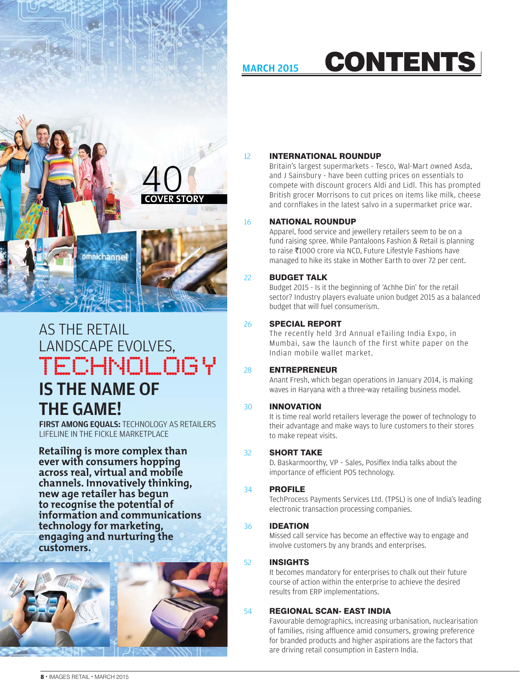## MARCH 2015 CONTENTS



## AS THE RETAIL LANDSCAPE EVOLVES, IS THE NAME OF THE GAME! *TECHNOLOGY*

**FIRST AMONG EQUALS: TECHNOLOGY AS RETAILERS** LIFELINE IN THE FICKLE MARKETPLACE

**Retailing is more complex than ever with consumers hopping across real, virtual and mobile channels. Innovatively thinking, new age retailer has begun to recognise the potential of information and communications technology for marketing, engaging and nurturing the customers.** 



## 12 INTERNATIONAL ROUNDUP

Britain's largest supermarkets - Tesco, Wal-Mart owned Asda, and J Sainsbury - have been cutting prices on essentials to compete with discount grocers Aldi and Lidl. This has prompted British grocer Morrisons to cut prices on items like milk, cheese and cornflakes in the latest salvo in a supermarket price war.

## 16 NATIONAL ROUNDUP

Apparel, food service and jewellery retailers seem to be on a fund raising spree. While Pantaloons Fashion & Retail is planning to raise ₹1000 crore via NCD, Future Lifestyle Fashions have managed to hike its stake in Mother Earth to over 72 per cent.

## 22 BUDGET TALK

Budget 2015 - Is it the beginning of 'Achhe Din' for the retail sector? Industry players evaluate union budget 2015 as a balanced budget that will fuel consumerism.

## 26 **SPECIAL REPORT**

The recently held 3rd Annual eTailing India Expo, in Mumbai, saw the launch of the first white paper on the Indian mobile wallet market.

## 28 ENTREPRENEUR

Anant Fresh, which began operations in January 2014, is making waves in Haryana with a three-way retailing business model.

### 30 INNOVATION

It is time real world retailers leverage the power of technology to their advantage and make ways to lure customers to their stores to make repeat visits.

## 32 SHORT TAKE

D. Baskarmoorthy, VP - Sales, Posiflex India talks about the importance of efficient POS technology.

## 34 PROFILE

TechProcess Payments Services Ltd. (TPSL) is one of India's leading electronic transaction processing companies.

### 36 IDEATION

Missed call service has become an effective way to engage and involve customers by any brands and enterprises.

## 52 INSIGHTS

It becomes mandatory for enterprises to chalk out their future course of action within the enterprise to achieve the desired results from ERP implementations.

## 54 REGIONAL SCAN- EAST INDIA

 Favourable demographics, increasing urbanisation, nuclearisation of families, rising affluence amid consumers, growing preference for branded products and higher aspirations are the factors that are driving retail consumption in Eastern India.

8 · IMAGES RETAIL · MARCH 2015